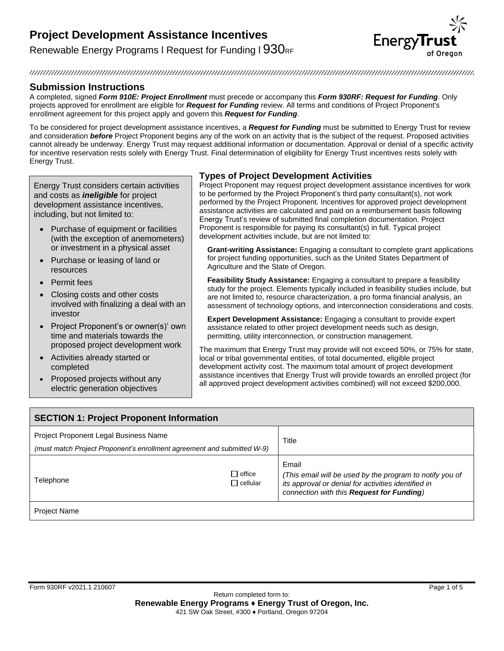Renewable Energy Programs I Request for Funding I  $930<sub>RF</sub>$ 



#### 

## **Submission Instructions**

A completed, signed *Form 910E: Project Enrollment* must precede or accompany this *Form 930RF: Request for Funding*. Only projects approved for enrollment are eligible for *Request for Funding* review. All terms and conditions of Project Proponent's enrollment agreement for this project apply and govern this *Request for Funding*.

To be considered for project development assistance incentives, a *Request for Funding* must be submitted to Energy Trust for review and consideration *before* Project Proponent begins any of the work on an activity that is the subject of the request. Proposed activities cannot already be underway. Energy Trust may request additional information or documentation. Approval or denial of a specific activity for incentive reservation rests solely with Energy Trust. Final determination of eligibility for Energy Trust incentives rests solely with Energy Trust.

Energy Trust considers certain activities and costs as *ineligible* for project development assistance incentives, including, but not limited to:

- Purchase of equipment or facilities (with the exception of anemometers) or investment in a physical asset
- Purchase or leasing of land or resources
- Permit fees
- Closing costs and other costs involved with finalizing a deal with an investor
- Project Proponent's or owner(s)' own time and materials towards the proposed project development work
- Activities already started or completed
- Proposed projects without any electric generation objectives

### **Types of Project Development Activities**

Project Proponent may request project development assistance incentives for work to be performed by the Project Proponent's third party consultant(s), not work performed by the Project Proponent. Incentives for approved project development assistance activities are calculated and paid on a reimbursement basis following Energy Trust's review of submitted final completion documentation. Project Proponent is responsible for paying its consultant(s) in full. Typical project development activities include, but are not limited to:

**Grant-writing Assistance:** Engaging a consultant to complete grant applications for project funding opportunities, such as the United States Department of Agriculture and the State of Oregon.

**Feasibility Study Assistance:** Engaging a consultant to prepare a feasibility study for the project. Elements typically included in feasibility studies include, but are not limited to, resource characterization, a pro forma financial analysis, an assessment of technology options, and interconnection considerations and costs.

**Expert Development Assistance:** Engaging a consultant to provide expert assistance related to other project development needs such as design, permitting, utility interconnection, or construction management.

The maximum that Energy Trust may provide will not exceed 50%, or 75% for state, local or tribal governmental entities, of total documented, eligible project development activity cost. The maximum total amount of project development assistance incentives that Energy Trust will provide towards an enrolled project (for all approved project development activities combined) will not exceed \$200,000.

| <b>SECTION 1: Project Proponent Information</b>                                                                  |                                  |                                                                                                                                                                       |  |
|------------------------------------------------------------------------------------------------------------------|----------------------------------|-----------------------------------------------------------------------------------------------------------------------------------------------------------------------|--|
| Project Proponent Legal Business Name<br>(must match Project Proponent's enrollment agreement and submitted W-9) |                                  | Title                                                                                                                                                                 |  |
| Telephone                                                                                                        | $\Box$ office<br>$\Box$ cellular | Email<br>(This email will be used by the program to notify you of<br>its approval or denial for activities identified in<br>connection with this Request for Funding) |  |
| <b>Project Name</b>                                                                                              |                                  |                                                                                                                                                                       |  |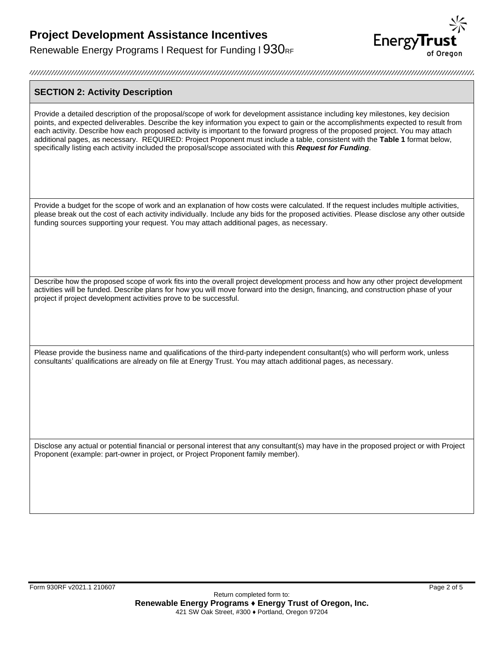Renewable Energy Programs I Request for Funding I  $930<sub>RF</sub>$ 



### **SECTION 2: Activity Description**

Provide a detailed description of the proposal/scope of work for development assistance including key milestones, key decision points, and expected deliverables. Describe the key information you expect to gain or the accomplishments expected to result from each activity. Describe how each proposed activity is important to the forward progress of the proposed project. You may attach additional pages, as necessary. REQUIRED: Project Proponent must include a table, consistent with the **Table 1** format below, specifically listing each activity included the proposal/scope associated with this *Request for Funding*.

Provide a budget for the scope of work and an explanation of how costs were calculated. If the request includes multiple activities, please break out the cost of each activity individually. Include any bids for the proposed activities. Please disclose any other outside funding sources supporting your request. You may attach additional pages, as necessary.

Describe how the proposed scope of work fits into the overall project development process and how any other project development activities will be funded. Describe plans for how you will move forward into the design, financing, and construction phase of your project if project development activities prove to be successful.

Please provide the business name and qualifications of the third-party independent consultant(s) who will perform work, unless consultants' qualifications are already on file at Energy Trust. You may attach additional pages, as necessary.

Disclose any actual or potential financial or personal interest that any consultant(s) may have in the proposed project or with Project Proponent (example: part-owner in project, or Project Proponent family member).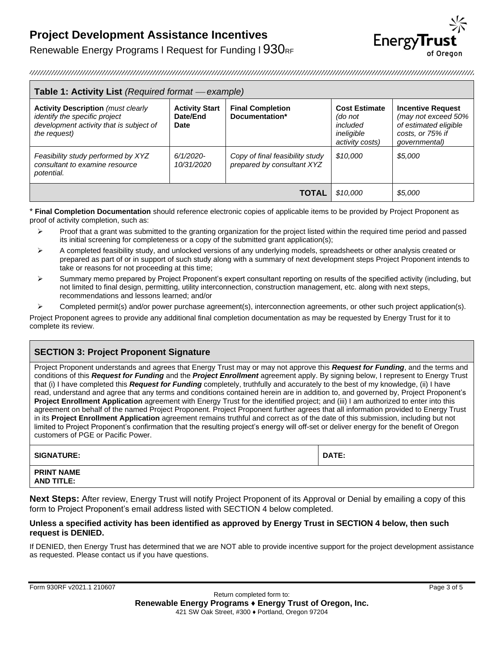

Renewable Energy Programs I Request for Funding I  $930<sub>RF</sub>$ 

| <b>Table 1: Activity List</b> (Required format — example)                                                                             |                                           |                                                               |                                                                              |                                                                                                               |
|---------------------------------------------------------------------------------------------------------------------------------------|-------------------------------------------|---------------------------------------------------------------|------------------------------------------------------------------------------|---------------------------------------------------------------------------------------------------------------|
| <b>Activity Description (must clearly</b><br>identify the specific project<br>development activity that is subject of<br>the request) | <b>Activity Start</b><br>Date/End<br>Date | <b>Final Completion</b><br>Documentation*                     | <b>Cost Estimate</b><br>(do not<br>included<br>ineligible<br>activity costs) | <b>Incentive Request</b><br>(may not exceed 50%<br>of estimated eligible<br>costs, or 75% if<br>qovernmental) |
| Feasibility study performed by XYZ<br>consultant to examine resource<br>potential.                                                    | $6/1/2020$ -<br>10/31/2020                | Copy of final feasibility study<br>prepared by consultant XYZ | \$10.000                                                                     | \$5.000                                                                                                       |
|                                                                                                                                       |                                           | <b>TOTAL</b>                                                  | \$10,000                                                                     | \$5,000                                                                                                       |

\* **Final Completion Documentation** should reference electronic copies of applicable items to be provided by Project Proponent as proof of activity completion, such as:

- ➢ Proof that a grant was submitted to the granting organization for the project listed within the required time period and passed its initial screening for completeness or a copy of the submitted grant application(s);
- $\triangleright$  A completed feasibility study, and unlocked versions of any underlying models, spreadsheets or other analysis created or prepared as part of or in support of such study along with a summary of next development steps Project Proponent intends to take or reasons for not proceeding at this time;
- ➢ Summary memo prepared by Project Proponent's expert consultant reporting on results of the specified activity (including, but not limited to final design, permitting, utility interconnection, construction management, etc. along with next steps, recommendations and lessons learned; and/or
- ➢ Completed permit(s) and/or power purchase agreement(s), interconnection agreements, or other such project application(s).

Project Proponent agrees to provide any additional final completion documentation as may be requested by Energy Trust for it to complete its review.

## **SECTION 3: Project Proponent Signature**

Project Proponent understands and agrees that Energy Trust may or may not approve this *Request for Funding*, and the terms and conditions of this *Request for Funding* and the *Project Enrollment* agreement apply. By signing below, I represent to Energy Trust that (i) I have completed this *Request for Funding* completely, truthfully and accurately to the best of my knowledge, (ii) I have read, understand and agree that any terms and conditions contained herein are in addition to, and governed by, Project Proponent's **Project Enrollment Application** agreement with Energy Trust for the identified project; and (iii) I am authorized to enter into this agreement on behalf of the named Project Proponent. Project Proponent further agrees that all information provided to Energy Trust in its **Project Enrollment Application** agreement remains truthful and correct as of the date of this submission, including but not limited to Project Proponent's confirmation that the resulting project's energy will off-set or deliver energy for the benefit of Oregon customers of PGE or Pacific Power.

| <b>SIGNATURE:</b> | <b>DATE:</b> |
|-------------------|--------------|
|-------------------|--------------|

| <b>PRINT NAME</b> |  |
|-------------------|--|
| AND TITLE:        |  |

**Next Steps:** After review, Energy Trust will notify Project Proponent of its Approval or Denial by emailing a copy of this form to Project Proponent's email address listed with SECTION 4 below completed.

### **Unless a specified activity has been identified as approved by Energy Trust in SECTION 4 below, then such request is DENIED.**

If DENIED, then Energy Trust has determined that we are NOT able to provide incentive support for the project development assistance as requested. Please contact us if you have questions.

Form 930RF v2021.1 210607 Page 3 of 5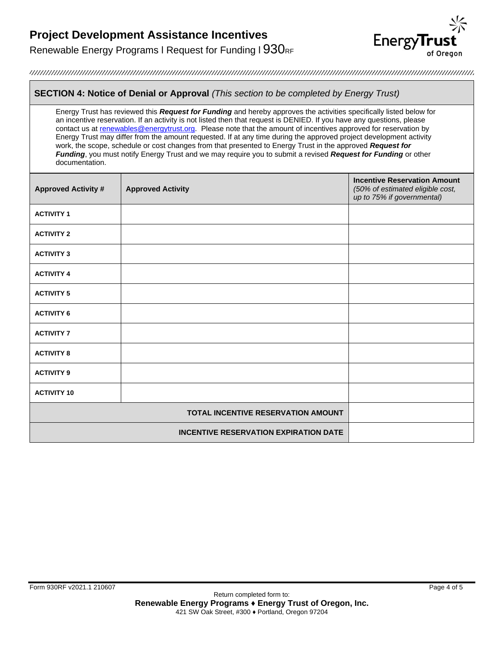Renewable Energy Programs I Request for Funding I 930RF



### **SECTION 4: Notice of Denial or Approval** *(This section to be completed by Energy Trust)*

Energy Trust has reviewed this *Request for Funding* and hereby approves the activities specifically listed below for an incentive reservation. If an activity is not listed then that request is DENIED. If you have any questions, please contact us at [renewables@energytrust.org.](mailto:renewables@energytrust.org) Please note that the amount of incentives approved for reservation by Energy Trust may differ from the amount requested. If at any time during the approved project development activity work, the scope, schedule or cost changes from that presented to Energy Trust in the approved *Request for Funding*, you must notify Energy Trust and we may require you to submit a revised *Request for Funding* or other documentation.

| <b>Approved Activity #</b> | <b>Approved Activity</b>                     | <b>Incentive Reservation Amount</b><br>(50% of estimated eligible cost,<br>up to 75% if governmental) |
|----------------------------|----------------------------------------------|-------------------------------------------------------------------------------------------------------|
| <b>ACTIVITY 1</b>          |                                              |                                                                                                       |
| <b>ACTIVITY 2</b>          |                                              |                                                                                                       |
| <b>ACTIVITY 3</b>          |                                              |                                                                                                       |
| <b>ACTIVITY 4</b>          |                                              |                                                                                                       |
| <b>ACTIVITY 5</b>          |                                              |                                                                                                       |
| <b>ACTIVITY 6</b>          |                                              |                                                                                                       |
| <b>ACTIVITY 7</b>          |                                              |                                                                                                       |
| <b>ACTIVITY 8</b>          |                                              |                                                                                                       |
| <b>ACTIVITY 9</b>          |                                              |                                                                                                       |
| <b>ACTIVITY 10</b>         |                                              |                                                                                                       |
|                            | TOTAL INCENTIVE RESERVATION AMOUNT           |                                                                                                       |
|                            | <b>INCENTIVE RESERVATION EXPIRATION DATE</b> |                                                                                                       |